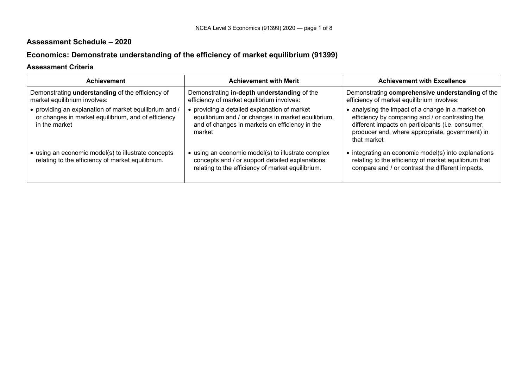## **Assessment Schedule – 2020**

# **Economics: Demonstrate understanding of the efficiency of market equilibrium (91399)**

### **Assessment Criteria**

| <b>Achievement</b>                                                                                                             | <b>Achievement with Merit</b>                                                                                                                                 | <b>Achievement with Excellence</b>                                                                                                                                                                                           |
|--------------------------------------------------------------------------------------------------------------------------------|---------------------------------------------------------------------------------------------------------------------------------------------------------------|------------------------------------------------------------------------------------------------------------------------------------------------------------------------------------------------------------------------------|
| Demonstrating understanding of the efficiency of<br>market equilibrium involves:                                               | Demonstrating in-depth understanding of the<br>efficiency of market equilibrium involves:                                                                     | Demonstrating comprehensive understanding of the<br>efficiency of market equilibrium involves:                                                                                                                               |
| • providing an explanation of market equilibrium and /<br>or changes in market equilibrium, and of efficiency<br>in the market | providing a detailed explanation of market<br>equilibrium and / or changes in market equilibrium,<br>and of changes in markets on efficiency in the<br>market | • analysing the impact of a change in a market on<br>efficiency by comparing and / or contrasting the<br>different impacts on participants (i.e. consumer,<br>producer and, where appropriate, government) in<br>that market |
| • using an economic model(s) to illustrate concepts<br>relating to the efficiency of market equilibrium.                       | using an economic model(s) to illustrate complex<br>concepts and / or support detailed explanations<br>relating to the efficiency of market equilibrium.      | • integrating an economic model(s) into explanations<br>relating to the efficiency of market equilibrium that<br>compare and / or contrast the different impacts.                                                            |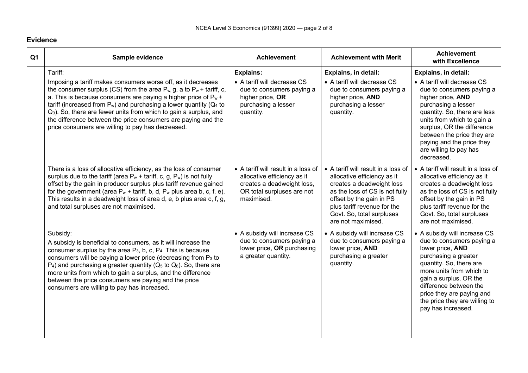#### **Evidence**

| Q <sub>1</sub> | Sample evidence                                                                                                                                                                                                                                                                                                                                                                                                                                                                                         | <b>Achievement</b>                                                                                                                           | <b>Achievement with Merit</b>                                                                                                                                                                                                                   | <b>Achievement</b><br>with Excellence                                                                                                                                                                                                                                                                |
|----------------|---------------------------------------------------------------------------------------------------------------------------------------------------------------------------------------------------------------------------------------------------------------------------------------------------------------------------------------------------------------------------------------------------------------------------------------------------------------------------------------------------------|----------------------------------------------------------------------------------------------------------------------------------------------|-------------------------------------------------------------------------------------------------------------------------------------------------------------------------------------------------------------------------------------------------|------------------------------------------------------------------------------------------------------------------------------------------------------------------------------------------------------------------------------------------------------------------------------------------------------|
|                | Tariff:                                                                                                                                                                                                                                                                                                                                                                                                                                                                                                 | <b>Explains:</b>                                                                                                                             | <b>Explains, in detail:</b>                                                                                                                                                                                                                     | Explains, in detail:                                                                                                                                                                                                                                                                                 |
|                | Imposing a tariff makes consumers worse off, as it decreases<br>the consumer surplus (CS) from the area $P_{w}$ , g, a to $P_{w}$ + tariff, c,<br>a. This is because consumers are paying a higher price of $P_w$ +<br>tariff (increased from $P_w$ ) and purchasing a lower quantity ( $Q_4$ to<br>Q <sub>3</sub> ). So, there are fewer units from which to gain a surplus, and<br>the difference between the price consumers are paying and the<br>price consumers are willing to pay has decreased. | • A tariff will decrease CS<br>due to consumers paying a<br>higher price, OR<br>purchasing a lesser<br>quantity.                             | • A tariff will decrease CS<br>due to consumers paying a<br>higher price, AND<br>purchasing a lesser<br>quantity.                                                                                                                               | • A tariff will decrease CS<br>due to consumers paying a<br>higher price, AND<br>purchasing a lesser<br>quantity. So, there are less<br>units from which to gain a<br>surplus, OR the difference<br>between the price they are<br>paying and the price they<br>are willing to pay has<br>decreased.  |
|                | There is a loss of allocative efficiency, as the loss of consumer<br>surplus due to the tariff (area $P_w$ + tariff, c, g, $P_w$ ) is not fully<br>offset by the gain in producer surplus plus tariff revenue gained<br>for the government (area $P_w$ + tariff, b, d, $P_w$ plus area b, c, f, e).<br>This results in a deadweight loss of area d, e, b plus area c, f, g,<br>and total surpluses are not maximised.                                                                                   | • A tariff will result in a loss of<br>allocative efficiency as it<br>creates a deadweight loss,<br>OR total surpluses are not<br>maximised. | • A tariff will result in a loss of<br>allocative efficiency as it<br>creates a deadweight loss<br>as the loss of CS is not fully<br>offset by the gain in PS<br>plus tariff revenue for the<br>Govt. So, total surpluses<br>are not maximised. | • A tariff will result in a loss of<br>allocative efficiency as it<br>creates a deadweight loss<br>as the loss of CS is not fully<br>offset by the gain in PS<br>plus tariff revenue for the<br>Govt. So, total surpluses<br>are not maximised.                                                      |
|                | Subsidy:<br>A subsidy is beneficial to consumers, as it will increase the<br>consumer surplus by the area $P_3$ , b, c, $P_4$ . This is because<br>consumers will be paying a lower price (decreasing from P <sub>3</sub> to<br>$P_4$ ) and purchasing a greater quantity ( $Q_5$ to $Q_6$ ). So, there are<br>more units from which to gain a surplus, and the difference<br>between the price consumers are paying and the price<br>consumers are willing to pay has increased.                       | • A subsidy will increase CS<br>due to consumers paying a<br>lower price, OR purchasing<br>a greater quantity.                               | • A subsidy will increase CS<br>due to consumers paying a<br>lower price, AND<br>purchasing a greater<br>quantity.                                                                                                                              | • A subsidy will increase CS<br>due to consumers paying a<br>lower price, AND<br>purchasing a greater<br>quantity. So, there are<br>more units from which to<br>gain a surplus, OR the<br>difference between the<br>price they are paying and<br>the price they are willing to<br>pay has increased. |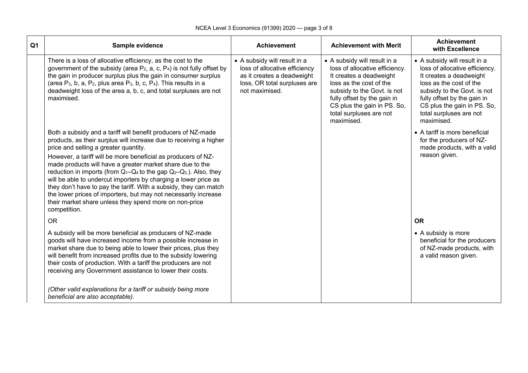| Q1 | Sample evidence                                                                                                                                                                                                                                                                                                                                                                                                                                                                                                                                                                                                                                                                                                      | <b>Achievement</b>                                                                                                                            | <b>Achievement with Merit</b>                                                                                                                                                                                                                              | <b>Achievement</b><br>with Excellence                                                                                                                                                                                                                      |
|----|----------------------------------------------------------------------------------------------------------------------------------------------------------------------------------------------------------------------------------------------------------------------------------------------------------------------------------------------------------------------------------------------------------------------------------------------------------------------------------------------------------------------------------------------------------------------------------------------------------------------------------------------------------------------------------------------------------------------|-----------------------------------------------------------------------------------------------------------------------------------------------|------------------------------------------------------------------------------------------------------------------------------------------------------------------------------------------------------------------------------------------------------------|------------------------------------------------------------------------------------------------------------------------------------------------------------------------------------------------------------------------------------------------------------|
|    | There is a loss of allocative efficiency, as the cost to the<br>government of the subsidy (area $P_2$ , a, c, $P_4$ ) is not fully offset by<br>the gain in producer surplus plus the gain in consumer surplus<br>(area $P_3$ , b, a, $P_2$ , plus area $P_3$ , b, c, $P_4$ ). This results in a<br>deadweight loss of the area a, b, c, and total surpluses are not<br>maximised.                                                                                                                                                                                                                                                                                                                                   | • A subsidy will result in a<br>loss of allocative efficiency<br>as it creates a deadweight<br>loss, OR total surpluses are<br>not maximised. | • A subsidy will result in a<br>loss of allocative efficiency.<br>It creates a deadweight<br>loss as the cost of the<br>subsidy to the Govt. is not<br>fully offset by the gain in<br>CS plus the gain in PS. So,<br>total surpluses are not<br>maximised. | • A subsidy will result in a<br>loss of allocative efficiency.<br>It creates a deadweight<br>loss as the cost of the<br>subsidy to the Govt. is not<br>fully offset by the gain in<br>CS plus the gain in PS. So,<br>total surpluses are not<br>maximised. |
|    | Both a subsidy and a tariff will benefit producers of NZ-made<br>products, as their surplus will increase due to receiving a higher<br>price and selling a greater quantity.<br>However, a tariff will be more beneficial as producers of NZ-<br>made products will have a greater market share due to the<br>reduction in imports (from Q <sub>1</sub> -Q <sub>4</sub> to the gap Q <sub>2</sub> -Q <sub>3</sub> ). Also, they<br>will be able to undercut importers by charging a lower price as<br>they don't have to pay the tariff. With a subsidy, they can match<br>the lower prices of importers, but may not necessarily increase<br>their market share unless they spend more on non-price<br>competition. |                                                                                                                                               |                                                                                                                                                                                                                                                            | • A tariff is more beneficial<br>for the producers of NZ-<br>made products, with a valid<br>reason given.                                                                                                                                                  |
|    | <b>OR</b>                                                                                                                                                                                                                                                                                                                                                                                                                                                                                                                                                                                                                                                                                                            |                                                                                                                                               |                                                                                                                                                                                                                                                            | <b>OR</b>                                                                                                                                                                                                                                                  |
|    | A subsidy will be more beneficial as producers of NZ-made<br>goods will have increased income from a possible increase in<br>market share due to being able to lower their prices, plus they<br>will benefit from increased profits due to the subsidy lowering<br>their costs of production. With a tariff the producers are not<br>receiving any Government assistance to lower their costs.                                                                                                                                                                                                                                                                                                                       |                                                                                                                                               |                                                                                                                                                                                                                                                            | • A subsidy is more<br>beneficial for the producers<br>of NZ-made products, with<br>a valid reason given.                                                                                                                                                  |
|    | (Other valid explanations for a tariff or subsidy being more<br>beneficial are also acceptable).                                                                                                                                                                                                                                                                                                                                                                                                                                                                                                                                                                                                                     |                                                                                                                                               |                                                                                                                                                                                                                                                            |                                                                                                                                                                                                                                                            |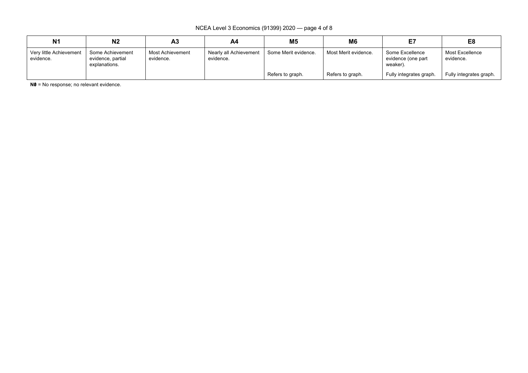NCEA Level 3 Economics (91399) 2020 — page 4 of 8

| N <sub>1</sub>                       | N <sub>2</sub>                                         | Α3                            | A4                                  | M <sub>5</sub>       | M6                   |                                                   | E8                           |
|--------------------------------------|--------------------------------------------------------|-------------------------------|-------------------------------------|----------------------|----------------------|---------------------------------------------------|------------------------------|
| Very little Achievement<br>evidence. | Some Achievement<br>evidence, partial<br>explanations. | Most Achievement<br>evidence. | Nearly all Achievement<br>evidence. | Some Merit evidence. | Most Merit evidence. | Some Excellence<br>evidence (one part<br>weaker). | Most Excellence<br>evidence. |
|                                      |                                                        |                               |                                     | Refers to graph.     | Refers to graph.     | Fully integrates graph.                           | Fully integrates graph.      |

**N0** = No response; no relevant evidence.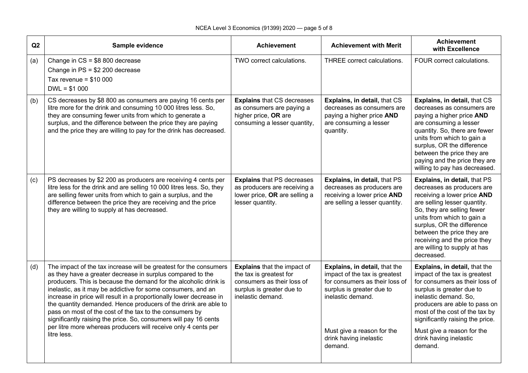| Q2  | Sample evidence                                                                                                                                                                                                                                                                                                                                                                                                                                                                                                                                                                                                               | <b>Achievement</b>                                                                                                                            | <b>Achievement with Merit</b>                                                                                                                                                                                         | <b>Achievement</b><br>with Excellence                                                                                                                                                                                                                                                                                            |
|-----|-------------------------------------------------------------------------------------------------------------------------------------------------------------------------------------------------------------------------------------------------------------------------------------------------------------------------------------------------------------------------------------------------------------------------------------------------------------------------------------------------------------------------------------------------------------------------------------------------------------------------------|-----------------------------------------------------------------------------------------------------------------------------------------------|-----------------------------------------------------------------------------------------------------------------------------------------------------------------------------------------------------------------------|----------------------------------------------------------------------------------------------------------------------------------------------------------------------------------------------------------------------------------------------------------------------------------------------------------------------------------|
| (a) | Change in $CS = $8,800$ decrease<br>Change in $PS = $2,200$ decrease<br>Tax revenue = $$10,000$<br>$DWL = $1 000$                                                                                                                                                                                                                                                                                                                                                                                                                                                                                                             | TWO correct calculations.                                                                                                                     | THREE correct calculations.                                                                                                                                                                                           | FOUR correct calculations.                                                                                                                                                                                                                                                                                                       |
| (b) | CS decreases by \$8 800 as consumers are paying 16 cents per<br>litre more for the drink and consuming 10 000 litres less. So,<br>they are consuming fewer units from which to generate a<br>surplus, and the difference between the price they are paying<br>and the price they are willing to pay for the drink has decreased.                                                                                                                                                                                                                                                                                              | <b>Explains that CS decreases</b><br>as consumers are paying a<br>higher price, OR are<br>consuming a lesser quantity,                        | Explains, in detail, that CS<br>decreases as consumers are<br>paying a higher price AND<br>are consuming a lesser<br>quantity.                                                                                        | Explains, in detail, that CS<br>decreases as consumers are<br>paying a higher price AND<br>are consuming a lesser<br>quantity. So, there are fewer<br>units from which to gain a<br>surplus, OR the difference<br>between the price they are<br>paying and the price they are<br>willing to pay has decreased.                   |
| (c) | PS decreases by \$2 200 as producers are receiving 4 cents per<br>litre less for the drink and are selling 10 000 litres less. So, they<br>are selling fewer units from which to gain a surplus, and the<br>difference between the price they are receiving and the price<br>they are willing to supply at has decreased.                                                                                                                                                                                                                                                                                                     | <b>Explains that PS decreases</b><br>as producers are receiving a<br>lower price, OR are selling a<br>lesser quantity.                        | Explains, in detail, that PS<br>decreases as producers are<br>receiving a lower price AND<br>are selling a lesser quantity.                                                                                           | Explains, in detail, that PS<br>decreases as producers are<br>receiving a lower price AND<br>are selling lesser quantity.<br>So, they are selling fewer<br>units from which to gain a<br>surplus, OR the difference<br>between the price they are<br>receiving and the price they<br>are willing to supply at has<br>decreased.  |
| (d) | The impact of the tax increase will be greatest for the consumers<br>as they have a greater decrease in surplus compared to the<br>producers. This is because the demand for the alcoholic drink is<br>inelastic, as it may be addictive for some consumers, and an<br>increase in price will result in a proportionally lower decrease in<br>the quantity demanded. Hence producers of the drink are able to<br>pass on most of the cost of the tax to the consumers by<br>significantly raising the price. So, consumers will pay 16 cents<br>per litre more whereas producers will receive only 4 cents per<br>litre less. | <b>Explains that the impact of</b><br>the tax is greatest for<br>consumers as their loss of<br>surplus is greater due to<br>inelastic demand. | Explains, in detail, that the<br>impact of the tax is greatest<br>for consumers as their loss of<br>surplus is greater due to<br>inelastic demand.<br>Must give a reason for the<br>drink having inelastic<br>demand. | Explains, in detail, that the<br>impact of the tax is greatest<br>for consumers as their loss of<br>surplus is greater due to<br>inelastic demand. So,<br>producers are able to pass on<br>most of the cost of the tax by<br>significantly raising the price.<br>Must give a reason for the<br>drink having inelastic<br>demand. |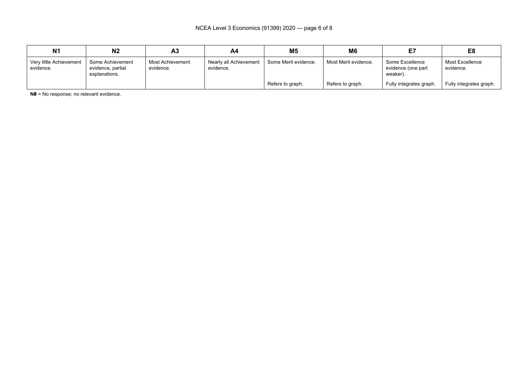| N <sub>1</sub>                       | N2                                                     | A3                            | A4                                  | M <sub>5</sub>       | M <sub>6</sub>       |                                                   | E <sub>8</sub>               |
|--------------------------------------|--------------------------------------------------------|-------------------------------|-------------------------------------|----------------------|----------------------|---------------------------------------------------|------------------------------|
| Very little Achievement<br>evidence. | Some Achievement<br>evidence, partial<br>explanations. | Most Achievement<br>evidence. | Nearly all Achievement<br>evidence. | Some Merit evidence. | Most Merit evidence. | Some Excellence<br>evidence (one part<br>weaker). | Most Excellence<br>evidence. |
|                                      |                                                        |                               |                                     | Refers to graph.     | Refers to graph.     | Fully integrates graph.                           | Fully integrates graph.      |

**N0** = No response; no relevant evidence.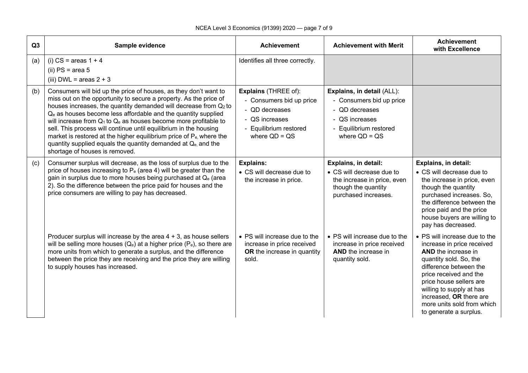| Q3  | Sample evidence                                                                                                                                                                                                                                                                                                                                                                                                                                                                                                                                                                                                                          | <b>Achievement</b>                                                                                                                       | <b>Achievement with Merit</b>                                                                                                           | <b>Achievement</b><br>with Excellence                                                                                                                                                                                                                                                                             |
|-----|------------------------------------------------------------------------------------------------------------------------------------------------------------------------------------------------------------------------------------------------------------------------------------------------------------------------------------------------------------------------------------------------------------------------------------------------------------------------------------------------------------------------------------------------------------------------------------------------------------------------------------------|------------------------------------------------------------------------------------------------------------------------------------------|-----------------------------------------------------------------------------------------------------------------------------------------|-------------------------------------------------------------------------------------------------------------------------------------------------------------------------------------------------------------------------------------------------------------------------------------------------------------------|
| (a) | (i) $CS = areas 1 + 4$<br>(ii) $PS = area 5$<br>(iii) DWL = areas $2 + 3$                                                                                                                                                                                                                                                                                                                                                                                                                                                                                                                                                                | Identifies all three correctly.                                                                                                          |                                                                                                                                         |                                                                                                                                                                                                                                                                                                                   |
| (b) | Consumers will bid up the price of houses, as they don't want to<br>miss out on the opportunity to secure a property. As the price of<br>houses increases, the quantity demanded will decrease from Q2 to<br>Q <sub>e</sub> as houses become less affordable and the quantity supplied<br>will increase from $Q_1$ to $Q_e$ as houses become more profitable to<br>sell. This process will continue until equilibrium in the housing<br>market is restored at the higher equilibrium price of P <sub>e</sub> , where the<br>quantity supplied equals the quantity demanded at Q <sub>e</sub> , and the<br>shortage of houses is removed. | <b>Explains (THREE of):</b><br>- Consumers bid up price<br>- QD decreases<br>- QS increases<br>- Equilibrium restored<br>where $QD = QS$ | Explains, in detail (ALL):<br>- Consumers bid up price<br>- QD decreases<br>- QS increases<br>- Equilibrium restored<br>where $QD = QS$ |                                                                                                                                                                                                                                                                                                                   |
| (c) | Consumer surplus will decrease, as the loss of surplus due to the<br>price of houses increasing to $P_e$ (area 4) will be greater than the<br>gain in surplus due to more houses being purchased at Q <sub>e</sub> (area<br>2). So the difference between the price paid for houses and the<br>price consumers are willing to pay has decreased.                                                                                                                                                                                                                                                                                         | <b>Explains:</b><br>• CS will decrease due to<br>the increase in price.                                                                  | <b>Explains, in detail:</b><br>• CS will decrease due to<br>the increase in price, even<br>though the quantity<br>purchased increases.  | <b>Explains, in detail:</b><br>• CS will decrease due to<br>the increase in price, even<br>though the quantity<br>purchased increases. So,<br>the difference between the<br>price paid and the price<br>house buyers are willing to<br>pay has decreased.                                                         |
|     | Producer surplus will increase by the area $4 + 3$ , as house sellers<br>will be selling more houses $(Q_e)$ at a higher price ( $P_e$ ), so there are<br>more units from which to generate a surplus, and the difference<br>between the price they are receiving and the price they are willing<br>to supply houses has increased.                                                                                                                                                                                                                                                                                                      | • PS will increase due to the<br>increase in price received<br>OR the increase in quantity<br>sold.                                      | • PS will increase due to the<br>increase in price received<br><b>AND</b> the increase in<br>quantity sold.                             | • PS will increase due to the<br>increase in price received<br><b>AND</b> the increase in<br>quantity sold. So, the<br>difference between the<br>price received and the<br>price house sellers are<br>willing to supply at has<br>increased, OR there are<br>more units sold from which<br>to generate a surplus. |